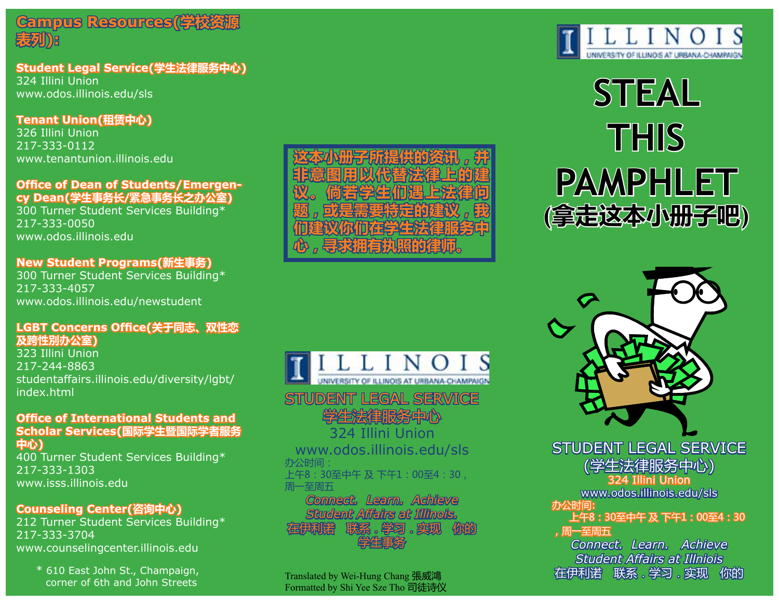

#### **Student Legal Service(学生法律服务中心)** 324 Illini Union

www.odos.illinois.edu/sls

**Tenant Union(租赁中心)**  326 Illini Union 217-333-0112

www.tenantunion.illinois.edu

#### **Office of Dean of Students/Emergency Dean(学生事务长/紧急事务长之办公室)**

300 Turner Student Services Building\* 217-333-0050 www.odos.illinois.edu

#### **New Student Programs(新生事务)**

300 Turner Student Services Building\* 217-333-4057 www.odos.illinois.edu/newstudent

#### **LGBT Concerns Office(关于同志、双性恋 及跨性別办公室)**

323 Illini Union 217-244-8863 studentaffairs.illinois.edu/diversity/lgbt/ index.html

#### **Office of International Students and Scholar Services(国际学生暨国际学者服务 中心)**

400 Turner Student Services Building\* 217-333-1303 www.isss.illinois.edu

#### **Counseling Center(咨询中心)**

212 Turner Student Services Building\* 217-333-3704 www.counselingcenter.illinois.edu

\* 610 East John St., Champaign, corner of 6th and John Streets



# **STEAL THIS PAMPHLET (拿走这本小册子吧)**



www.odos.illinois.edu/sls 办公时间: 上午8:30至中午 及 下午1:00至4:30, 周一至周五

NIVERSITY OF ILLINOIS AT URBANA-CHAMPAIGN

*Connect. Learn. Achieve Student Affairs at Illinois.* 联系。学习。实现 学生事务

STUDENT LEGAL SERVICE 学生法律服务中心 324 Illini Union

Translated by Wei-Hung Chang 張威鴻 Formatted by Shi Yee Sze Tho 司徒诗仪 STUDENT LEGAL SERVICE (学生法律服务中心)

324 Illini Union

www.odos.illinois.edu/sls 办公时间:

上午8:30至中午 及 下午1:00至4:30

### ,周一至周五

*Connect. Learn. Achieve Student Affairs at Illniois*  在伊利诺 联系.学习.实现 你的